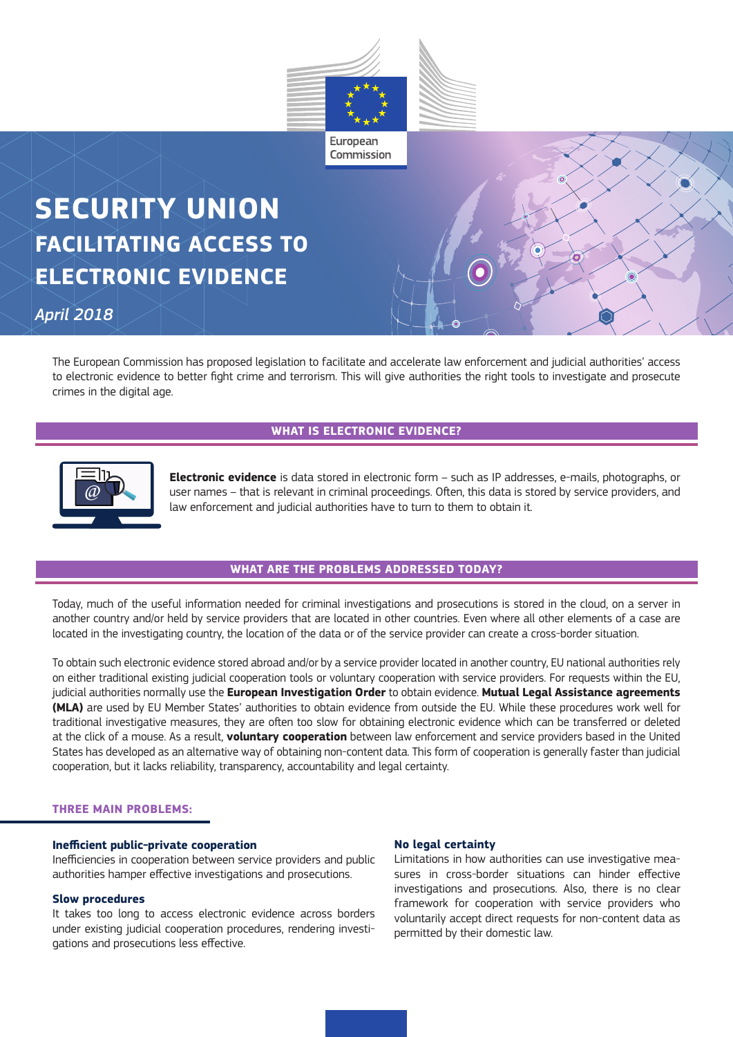

# **SECURITY UNION FACILITATING ACCESS TO ELECTRONIC EVIDENCE**

*April 2018*

The European Commission has proposed legislation to facilitate and accelerate law enforcement and judicial authorities' access to electronic evidence to better fight crime and terrorism. This will give authorities the right tools to investigate and prosecute crimes in the digital age.

# **WHAT IS ELECTRONIC EVIDENCE?**



**Electronic evidence** is data stored in electronic form – such as IP addresses, e-mails, photographs, or user names – that is relevant in criminal proceedings. Often, this data is stored by service providers, and law enforcement and judicial authorities have to turn to them to obtain it.

## **WHAT ARE THE PROBLEMS ADDRESSED TODAY?**

Today, much of the useful information needed for criminal investigations and prosecutions is stored in the cloud, on a server in another country and/or held by service providers that are located in other countries. Even where all other elements of a case are located in the investigating country, the location of the data or of the service provider can create a cross-border situation.

To obtain such electronic evidence stored abroad and/or by a service provider located in another country, EU national authorities rely on either traditional existing judicial cooperation tools or voluntary cooperation with service providers. For requests within the EU, judicial authorities normally use the **European Investigation Order** to obtain evidence. **Mutual Legal Assistance agreements (MLA)** are used by EU Member States' authorities to obtain evidence from outside the EU. While these procedures work well for traditional investigative measures, they are often too slow for obtaining electronic evidence which can be transferred or deleted at the click of a mouse. As a result, **voluntary cooperation** between law enforcement and service providers based in the United States has developed as an alternative way of obtaining non-content data. This form of cooperation is generally faster than judicial cooperation, but it lacks reliability, transparency, accountability and legal certainty.

#### **THREE MAIN PROBLEMS:**

#### **Inefficient public-private cooperation**

Inefficiencies in cooperation between service providers and public authorities hamper effective investigations and prosecutions.

#### **Slow procedures**

It takes too long to access electronic evidence across borders under existing judicial cooperation procedures, rendering investigations and prosecutions less effective.

#### **No legal certainty**

Limitations in how authorities can use investigative measures in cross-border situations can hinder effective investigations and prosecutions. Also, there is no clear framework for cooperation with service providers who voluntarily accept direct requests for non-content data as permitted by their domestic law.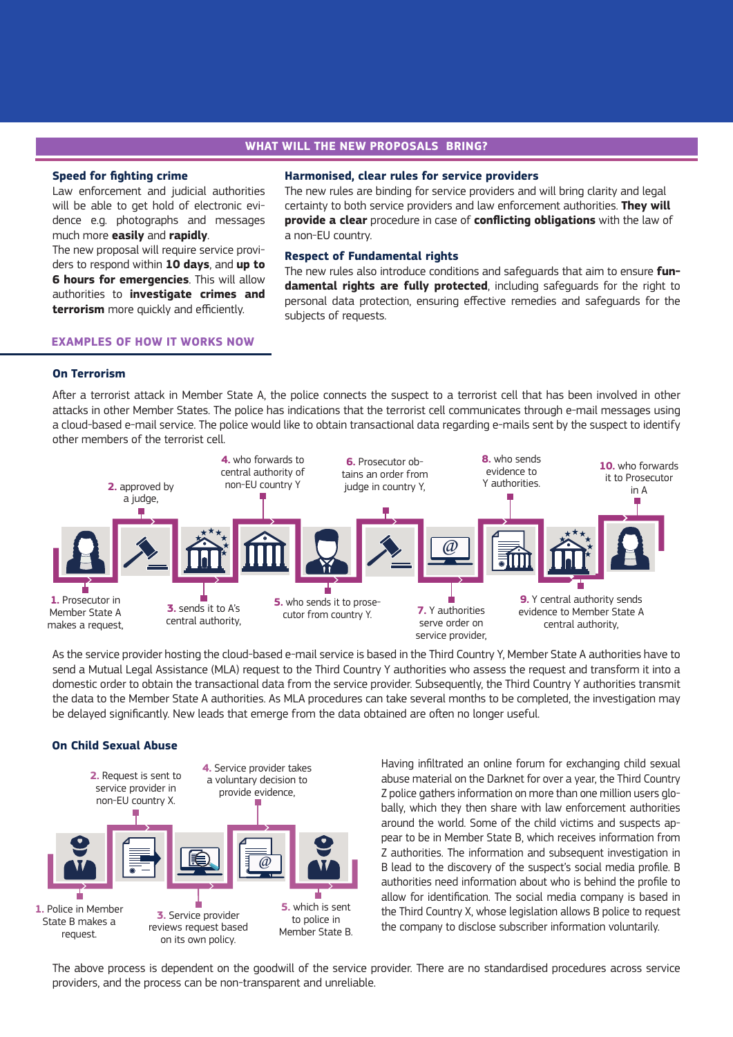# **WHAT WILL THE NEW PROPOSALS BRING?**

#### **Speed for fighting crime**

Law enforcement and judicial authorities will be able to get hold of electronic evidence e.g. photographs and messages much more **easily** and **rapidly**.

The new proposal will require service providers to respond within **10 days**, and **up to 6 hours for emergencies**. This will allow authorities to **investigate crimes and terrorism** more quickly and efficiently.

#### **Harmonised, clear rules for service providers**

The new rules are binding for service providers and will bring clarity and legal certainty to both service providers and law enforcement authorities. **They will provide a clear** procedure in case of **conflicting obligations** with the law of a non-EU country.

#### **Respect of Fundamental rights**

The new rules also introduce conditions and safeguards that aim to ensure **fundamental rights are fully protected**, including safeguards for the right to personal data protection, ensuring effective remedies and safeguards for the subjects of requests.

# **EXAMPLES OF HOW IT WORKS NOW**

## **On Terrorism**

After a terrorist attack in Member State A, the police connects the suspect to a terrorist cell that has been involved in other attacks in other Member States. The police has indications that the terrorist cell communicates through e-mail messages using a cloud-based e-mail service. The police would like to obtain transactional data regarding e-mails sent by the suspect to identify other members of the terrorist cell.



As the service provider hosting the cloud-based e-mail service is based in the Third Country Y, Member State A authorities have to send a Mutual Legal Assistance (MLA) request to the Third Country Y authorities who assess the request and transform it into a domestic order to obtain the transactional data from the service provider. Subsequently, the Third Country Y authorities transmit the data to the Member State A authorities. As MLA procedures can take several months to be completed, the investigation may be delayed significantly. New leads that emerge from the data obtained are often no longer useful.

#### **On Child Sexual Abuse**



Having infiltrated an online forum for exchanging child sexual abuse material on the Darknet for over a year, the Third Country Z police gathers information on more than one million users globally, which they then share with law enforcement authorities around the world. Some of the child victims and suspects appear to be in Member State B, which receives information from Z authorities. The information and subsequent investigation in B lead to the discovery of the suspect's social media profile. B authorities need information about who is behind the profile to allow for identification. The social media company is based in the Third Country X, whose legislation allows B police to request the company to disclose subscriber information voluntarily.

The above process is dependent on the goodwill of the service provider. There are no standardised procedures across service providers, and the process can be non-transparent and unreliable.